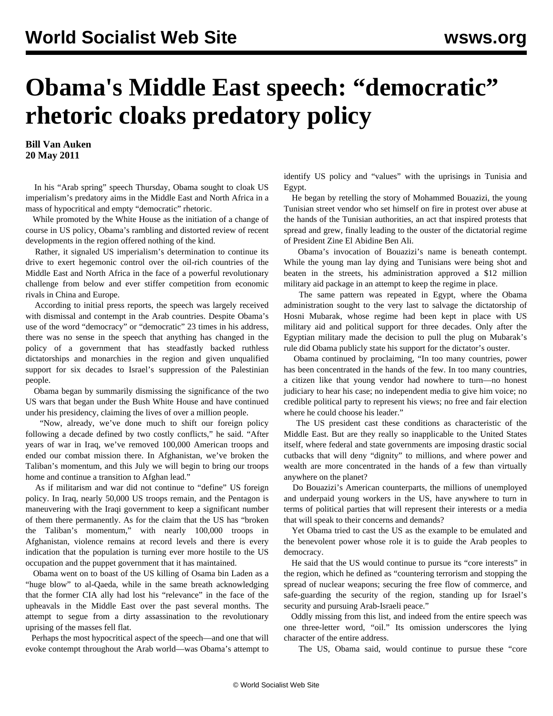## **Obama's Middle East speech: "democratic" rhetoric cloaks predatory policy**

**Bill Van Auken 20 May 2011**

 In his "Arab spring" speech Thursday, Obama sought to cloak US imperialism's predatory aims in the Middle East and North Africa in a mass of hypocritical and empty "democratic" rhetoric.

 While promoted by the White House as the initiation of a change of course in US policy, Obama's rambling and distorted review of recent developments in the region offered nothing of the kind.

 Rather, it signaled US imperialism's determination to continue its drive to exert hegemonic control over the oil-rich countries of the Middle East and North Africa in the face of a powerful revolutionary challenge from below and ever stiffer competition from economic rivals in China and Europe.

 According to initial press reports, the speech was largely received with dismissal and contempt in the Arab countries. Despite Obama's use of the word "democracy" or "democratic" 23 times in his address, there was no sense in the speech that anything has changed in the policy of a government that has steadfastly backed ruthless dictatorships and monarchies in the region and given unqualified support for six decades to Israel's suppression of the Palestinian people.

 Obama began by summarily dismissing the significance of the two US wars that began under the Bush White House and have continued under his presidency, claiming the lives of over a million people.

 "Now, already, we've done much to shift our foreign policy following a decade defined by two costly conflicts," he said. "After years of war in Iraq, we've removed 100,000 American troops and ended our combat mission there. In Afghanistan, we've broken the Taliban's momentum, and this July we will begin to bring our troops home and continue a transition to Afghan lead."

 As if militarism and war did not continue to "define" US foreign policy. In Iraq, nearly 50,000 US troops remain, and the Pentagon is maneuvering with the Iraqi government to keep a significant number of them there permanently. As for the claim that the US has "broken the Taliban's momentum," with nearly 100,000 troops in Afghanistan, violence remains at record levels and there is every indication that the population is turning ever more hostile to the US occupation and the puppet government that it has maintained.

 Obama went on to boast of the US killing of Osama bin Laden as a "huge blow" to al-Qaeda, while in the same breath acknowledging that the former CIA ally had lost his "relevance" in the face of the upheavals in the Middle East over the past several months. The attempt to segue from a dirty assassination to the revolutionary uprising of the masses fell flat.

 Perhaps the most hypocritical aspect of the speech—and one that will evoke contempt throughout the Arab world—was Obama's attempt to identify US policy and "values" with the uprisings in Tunisia and Egypt.

 He began by retelling the story of Mohammed Bouazizi, the young Tunisian street vendor who set himself on fire in protest over abuse at the hands of the Tunisian authorities, an act that inspired protests that spread and grew, finally leading to the ouster of the dictatorial regime of President Zine El Abidine Ben Ali.

 Obama's invocation of Bouazizi's name is beneath contempt. While the young man lay dying and Tunisians were being shot and beaten in the streets, his administration approved a \$12 million military aid package in an attempt to keep the regime in place.

 The same pattern was repeated in Egypt, where the Obama administration sought to the very last to salvage the dictatorship of Hosni Mubarak, whose regime had been kept in place with US military aid and political support for three decades. Only after the Egyptian military made the decision to pull the plug on Mubarak's rule did Obama publicly state his support for the dictator's ouster.

 Obama continued by proclaiming, "In too many countries, power has been concentrated in the hands of the few. In too many countries, a citizen like that young vendor had nowhere to turn—no honest judiciary to hear his case; no independent media to give him voice; no credible political party to represent his views; no free and fair election where he could choose his leader."

 The US president cast these conditions as characteristic of the Middle East. But are they really so inapplicable to the United States itself, where federal and state governments are imposing drastic social cutbacks that will deny "dignity" to millions, and where power and wealth are more concentrated in the hands of a few than virtually anywhere on the planet?

 Do Bouazizi's American counterparts, the millions of unemployed and underpaid young workers in the US, have anywhere to turn in terms of political parties that will represent their interests or a media that will speak to their concerns and demands?

 Yet Obama tried to cast the US as the example to be emulated and the benevolent power whose role it is to guide the Arab peoples to democracy.

 He said that the US would continue to pursue its "core interests" in the region, which he defined as "countering terrorism and stopping the spread of nuclear weapons; securing the free flow of commerce, and safe-guarding the security of the region, standing up for Israel's security and pursuing Arab-Israeli peace."

 Oddly missing from this list, and indeed from the entire speech was one three-letter word, "oil." Its omission underscores the lying character of the entire address.

The US, Obama said, would continue to pursue these "core